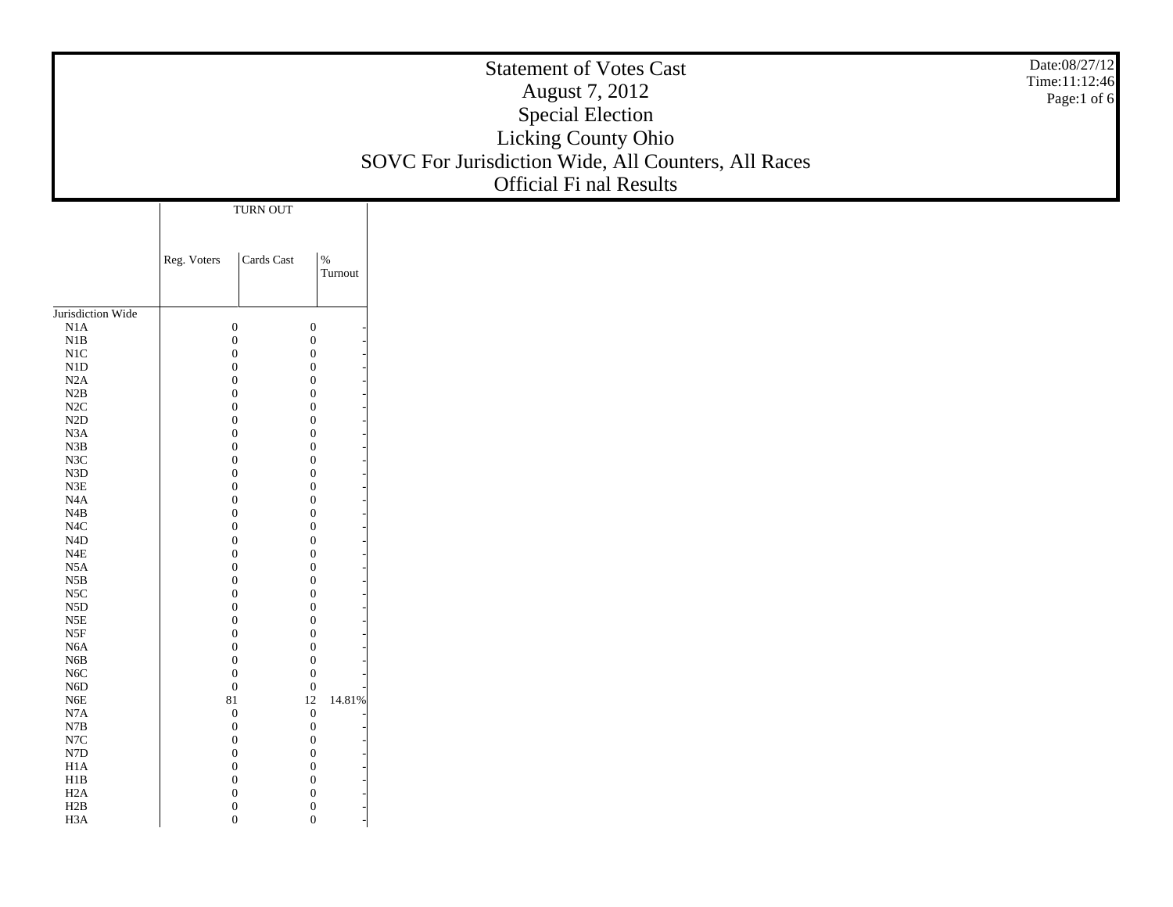| TURN OUT<br>Cards Cast<br>$\%$<br>Reg. Voters<br>Turnout<br>Jurisdiction Wide<br>$\rm N1A$<br>$\boldsymbol{0}$<br>$\theta$<br>$_{\rm N1B}$<br>$\boldsymbol{0}$<br>$\overline{0}$<br>$\rm N1C$<br>$\boldsymbol{0}$<br>$\Omega$<br>${\rm N1D}$<br>$\boldsymbol{0}$<br>$\Omega$<br>N2A<br>$\mathbf{0}$<br>$\Omega$<br>$\rm N2B$<br>$\boldsymbol{0}$<br>$\Omega$<br>$\rm N2C$<br>$\boldsymbol{0}$<br>$\Omega$<br>$\rm N2D$<br>$\boldsymbol{0}$<br>$\Omega$<br>$_{\rm N3A}$<br>$\mathbf{0}$<br>$\Omega$<br>${\bf N3B}$<br>$\boldsymbol{0}$<br>$\Omega$<br>$_{\rm N3C}$<br>$\boldsymbol{0}$<br>$\Omega$<br>${\rm N3D}$<br>$\boldsymbol{0}$<br>$\Omega$<br>${\rm N3E}$<br>$\mathbf{0}$<br>$\Omega$<br>$\rm N4A$<br>$\boldsymbol{0}$<br>$\Omega$<br>$\rm N4B$<br>$\boldsymbol{0}$<br>$\Omega$<br>$_{\mathrm{N4C}}$<br>$\boldsymbol{0}$<br>$\Omega$<br>$\rm N4D$<br>$\mathbf{0}$<br>$\Omega$<br>$_{\rm N4E}$<br>$\boldsymbol{0}$<br>$\Omega$<br>$_{\rm N5A}$<br>$\mathbf{0}$<br>$\Omega$<br>$_{\rm N5B}$<br>$\boldsymbol{0}$<br>$\Omega$<br>$_{\rm NSC}$<br>$\mathbf{0}$<br>$\Omega$<br>${\rm N5D}$<br>$\boldsymbol{0}$<br>$\Omega$<br>$_{\rm N5E}$<br>$\mathbf{0}$<br>$\Omega$<br>$_{\rm N5F}$<br>$\boldsymbol{0}$<br>$\Omega$<br>$_{\mathrm{N6A}}$<br>$\boldsymbol{0}$<br>$\Omega$<br>${\rm N6B}$<br>$\boldsymbol{0}$<br>$\Omega$<br>$_{\mathrm{N6C}}$<br>$\boldsymbol{0}$<br>$\Omega$<br>${\rm N6D}$<br>$\boldsymbol{0}$<br>$\mathbf{0}$<br>12 14.81%<br>${\rm N6E}$<br>81<br>N7A<br>$\theta$<br>$\theta$<br>${\bf N7B}$<br>$\boldsymbol{0}$<br>$\boldsymbol{0}$<br>$_{\mathrm{N7C}}$<br>$\boldsymbol{0}$<br>$\boldsymbol{0}$<br>${\rm N7D}$<br>$\mathbf{0}$<br>$\mathbf{0}$<br>H1A<br>$\mathbf{0}$<br>$\boldsymbol{0}$<br>$_{\rm H1B}$<br>$\mathbf{0}$<br>$\mathbf{0}$<br>H2A<br>$\mathbf{0}$<br>$\boldsymbol{0}$<br>H2B<br>$\boldsymbol{0}$<br>$\boldsymbol{0}$<br>$\mathbf{0}$<br>$\mathbf{0}$ |     |  | Date:08/27/12<br><b>Statement of Votes Cast</b><br>Time:11:12:46<br>August 7, 2012<br>Page:1 of 6<br><b>Special Election</b><br>Licking County Ohio<br>SOVC For Jurisdiction Wide, All Counters, All Races<br><b>Official Fi nal Results</b> |  |
|---------------------------------------------------------------------------------------------------------------------------------------------------------------------------------------------------------------------------------------------------------------------------------------------------------------------------------------------------------------------------------------------------------------------------------------------------------------------------------------------------------------------------------------------------------------------------------------------------------------------------------------------------------------------------------------------------------------------------------------------------------------------------------------------------------------------------------------------------------------------------------------------------------------------------------------------------------------------------------------------------------------------------------------------------------------------------------------------------------------------------------------------------------------------------------------------------------------------------------------------------------------------------------------------------------------------------------------------------------------------------------------------------------------------------------------------------------------------------------------------------------------------------------------------------------------------------------------------------------------------------------------------------------------------------------------------------------------------------------------------------------------------------------------------------------------------------------------------------------------------------------------------|-----|--|----------------------------------------------------------------------------------------------------------------------------------------------------------------------------------------------------------------------------------------------|--|
|                                                                                                                                                                                                                                                                                                                                                                                                                                                                                                                                                                                                                                                                                                                                                                                                                                                                                                                                                                                                                                                                                                                                                                                                                                                                                                                                                                                                                                                                                                                                                                                                                                                                                                                                                                                                                                                                                             |     |  |                                                                                                                                                                                                                                              |  |
|                                                                                                                                                                                                                                                                                                                                                                                                                                                                                                                                                                                                                                                                                                                                                                                                                                                                                                                                                                                                                                                                                                                                                                                                                                                                                                                                                                                                                                                                                                                                                                                                                                                                                                                                                                                                                                                                                             |     |  |                                                                                                                                                                                                                                              |  |
|                                                                                                                                                                                                                                                                                                                                                                                                                                                                                                                                                                                                                                                                                                                                                                                                                                                                                                                                                                                                                                                                                                                                                                                                                                                                                                                                                                                                                                                                                                                                                                                                                                                                                                                                                                                                                                                                                             |     |  |                                                                                                                                                                                                                                              |  |
|                                                                                                                                                                                                                                                                                                                                                                                                                                                                                                                                                                                                                                                                                                                                                                                                                                                                                                                                                                                                                                                                                                                                                                                                                                                                                                                                                                                                                                                                                                                                                                                                                                                                                                                                                                                                                                                                                             |     |  |                                                                                                                                                                                                                                              |  |
|                                                                                                                                                                                                                                                                                                                                                                                                                                                                                                                                                                                                                                                                                                                                                                                                                                                                                                                                                                                                                                                                                                                                                                                                                                                                                                                                                                                                                                                                                                                                                                                                                                                                                                                                                                                                                                                                                             |     |  |                                                                                                                                                                                                                                              |  |
|                                                                                                                                                                                                                                                                                                                                                                                                                                                                                                                                                                                                                                                                                                                                                                                                                                                                                                                                                                                                                                                                                                                                                                                                                                                                                                                                                                                                                                                                                                                                                                                                                                                                                                                                                                                                                                                                                             |     |  |                                                                                                                                                                                                                                              |  |
|                                                                                                                                                                                                                                                                                                                                                                                                                                                                                                                                                                                                                                                                                                                                                                                                                                                                                                                                                                                                                                                                                                                                                                                                                                                                                                                                                                                                                                                                                                                                                                                                                                                                                                                                                                                                                                                                                             |     |  |                                                                                                                                                                                                                                              |  |
|                                                                                                                                                                                                                                                                                                                                                                                                                                                                                                                                                                                                                                                                                                                                                                                                                                                                                                                                                                                                                                                                                                                                                                                                                                                                                                                                                                                                                                                                                                                                                                                                                                                                                                                                                                                                                                                                                             |     |  |                                                                                                                                                                                                                                              |  |
|                                                                                                                                                                                                                                                                                                                                                                                                                                                                                                                                                                                                                                                                                                                                                                                                                                                                                                                                                                                                                                                                                                                                                                                                                                                                                                                                                                                                                                                                                                                                                                                                                                                                                                                                                                                                                                                                                             |     |  |                                                                                                                                                                                                                                              |  |
|                                                                                                                                                                                                                                                                                                                                                                                                                                                                                                                                                                                                                                                                                                                                                                                                                                                                                                                                                                                                                                                                                                                                                                                                                                                                                                                                                                                                                                                                                                                                                                                                                                                                                                                                                                                                                                                                                             |     |  |                                                                                                                                                                                                                                              |  |
|                                                                                                                                                                                                                                                                                                                                                                                                                                                                                                                                                                                                                                                                                                                                                                                                                                                                                                                                                                                                                                                                                                                                                                                                                                                                                                                                                                                                                                                                                                                                                                                                                                                                                                                                                                                                                                                                                             |     |  |                                                                                                                                                                                                                                              |  |
|                                                                                                                                                                                                                                                                                                                                                                                                                                                                                                                                                                                                                                                                                                                                                                                                                                                                                                                                                                                                                                                                                                                                                                                                                                                                                                                                                                                                                                                                                                                                                                                                                                                                                                                                                                                                                                                                                             |     |  |                                                                                                                                                                                                                                              |  |
|                                                                                                                                                                                                                                                                                                                                                                                                                                                                                                                                                                                                                                                                                                                                                                                                                                                                                                                                                                                                                                                                                                                                                                                                                                                                                                                                                                                                                                                                                                                                                                                                                                                                                                                                                                                                                                                                                             |     |  |                                                                                                                                                                                                                                              |  |
|                                                                                                                                                                                                                                                                                                                                                                                                                                                                                                                                                                                                                                                                                                                                                                                                                                                                                                                                                                                                                                                                                                                                                                                                                                                                                                                                                                                                                                                                                                                                                                                                                                                                                                                                                                                                                                                                                             |     |  |                                                                                                                                                                                                                                              |  |
|                                                                                                                                                                                                                                                                                                                                                                                                                                                                                                                                                                                                                                                                                                                                                                                                                                                                                                                                                                                                                                                                                                                                                                                                                                                                                                                                                                                                                                                                                                                                                                                                                                                                                                                                                                                                                                                                                             |     |  |                                                                                                                                                                                                                                              |  |
|                                                                                                                                                                                                                                                                                                                                                                                                                                                                                                                                                                                                                                                                                                                                                                                                                                                                                                                                                                                                                                                                                                                                                                                                                                                                                                                                                                                                                                                                                                                                                                                                                                                                                                                                                                                                                                                                                             |     |  |                                                                                                                                                                                                                                              |  |
|                                                                                                                                                                                                                                                                                                                                                                                                                                                                                                                                                                                                                                                                                                                                                                                                                                                                                                                                                                                                                                                                                                                                                                                                                                                                                                                                                                                                                                                                                                                                                                                                                                                                                                                                                                                                                                                                                             |     |  |                                                                                                                                                                                                                                              |  |
|                                                                                                                                                                                                                                                                                                                                                                                                                                                                                                                                                                                                                                                                                                                                                                                                                                                                                                                                                                                                                                                                                                                                                                                                                                                                                                                                                                                                                                                                                                                                                                                                                                                                                                                                                                                                                                                                                             |     |  |                                                                                                                                                                                                                                              |  |
|                                                                                                                                                                                                                                                                                                                                                                                                                                                                                                                                                                                                                                                                                                                                                                                                                                                                                                                                                                                                                                                                                                                                                                                                                                                                                                                                                                                                                                                                                                                                                                                                                                                                                                                                                                                                                                                                                             |     |  |                                                                                                                                                                                                                                              |  |
|                                                                                                                                                                                                                                                                                                                                                                                                                                                                                                                                                                                                                                                                                                                                                                                                                                                                                                                                                                                                                                                                                                                                                                                                                                                                                                                                                                                                                                                                                                                                                                                                                                                                                                                                                                                                                                                                                             |     |  |                                                                                                                                                                                                                                              |  |
|                                                                                                                                                                                                                                                                                                                                                                                                                                                                                                                                                                                                                                                                                                                                                                                                                                                                                                                                                                                                                                                                                                                                                                                                                                                                                                                                                                                                                                                                                                                                                                                                                                                                                                                                                                                                                                                                                             |     |  |                                                                                                                                                                                                                                              |  |
|                                                                                                                                                                                                                                                                                                                                                                                                                                                                                                                                                                                                                                                                                                                                                                                                                                                                                                                                                                                                                                                                                                                                                                                                                                                                                                                                                                                                                                                                                                                                                                                                                                                                                                                                                                                                                                                                                             |     |  |                                                                                                                                                                                                                                              |  |
|                                                                                                                                                                                                                                                                                                                                                                                                                                                                                                                                                                                                                                                                                                                                                                                                                                                                                                                                                                                                                                                                                                                                                                                                                                                                                                                                                                                                                                                                                                                                                                                                                                                                                                                                                                                                                                                                                             |     |  |                                                                                                                                                                                                                                              |  |
|                                                                                                                                                                                                                                                                                                                                                                                                                                                                                                                                                                                                                                                                                                                                                                                                                                                                                                                                                                                                                                                                                                                                                                                                                                                                                                                                                                                                                                                                                                                                                                                                                                                                                                                                                                                                                                                                                             |     |  |                                                                                                                                                                                                                                              |  |
|                                                                                                                                                                                                                                                                                                                                                                                                                                                                                                                                                                                                                                                                                                                                                                                                                                                                                                                                                                                                                                                                                                                                                                                                                                                                                                                                                                                                                                                                                                                                                                                                                                                                                                                                                                                                                                                                                             |     |  |                                                                                                                                                                                                                                              |  |
|                                                                                                                                                                                                                                                                                                                                                                                                                                                                                                                                                                                                                                                                                                                                                                                                                                                                                                                                                                                                                                                                                                                                                                                                                                                                                                                                                                                                                                                                                                                                                                                                                                                                                                                                                                                                                                                                                             |     |  |                                                                                                                                                                                                                                              |  |
|                                                                                                                                                                                                                                                                                                                                                                                                                                                                                                                                                                                                                                                                                                                                                                                                                                                                                                                                                                                                                                                                                                                                                                                                                                                                                                                                                                                                                                                                                                                                                                                                                                                                                                                                                                                                                                                                                             |     |  |                                                                                                                                                                                                                                              |  |
|                                                                                                                                                                                                                                                                                                                                                                                                                                                                                                                                                                                                                                                                                                                                                                                                                                                                                                                                                                                                                                                                                                                                                                                                                                                                                                                                                                                                                                                                                                                                                                                                                                                                                                                                                                                                                                                                                             |     |  |                                                                                                                                                                                                                                              |  |
|                                                                                                                                                                                                                                                                                                                                                                                                                                                                                                                                                                                                                                                                                                                                                                                                                                                                                                                                                                                                                                                                                                                                                                                                                                                                                                                                                                                                                                                                                                                                                                                                                                                                                                                                                                                                                                                                                             |     |  |                                                                                                                                                                                                                                              |  |
|                                                                                                                                                                                                                                                                                                                                                                                                                                                                                                                                                                                                                                                                                                                                                                                                                                                                                                                                                                                                                                                                                                                                                                                                                                                                                                                                                                                                                                                                                                                                                                                                                                                                                                                                                                                                                                                                                             |     |  |                                                                                                                                                                                                                                              |  |
|                                                                                                                                                                                                                                                                                                                                                                                                                                                                                                                                                                                                                                                                                                                                                                                                                                                                                                                                                                                                                                                                                                                                                                                                                                                                                                                                                                                                                                                                                                                                                                                                                                                                                                                                                                                                                                                                                             |     |  |                                                                                                                                                                                                                                              |  |
|                                                                                                                                                                                                                                                                                                                                                                                                                                                                                                                                                                                                                                                                                                                                                                                                                                                                                                                                                                                                                                                                                                                                                                                                                                                                                                                                                                                                                                                                                                                                                                                                                                                                                                                                                                                                                                                                                             |     |  |                                                                                                                                                                                                                                              |  |
|                                                                                                                                                                                                                                                                                                                                                                                                                                                                                                                                                                                                                                                                                                                                                                                                                                                                                                                                                                                                                                                                                                                                                                                                                                                                                                                                                                                                                                                                                                                                                                                                                                                                                                                                                                                                                                                                                             |     |  |                                                                                                                                                                                                                                              |  |
|                                                                                                                                                                                                                                                                                                                                                                                                                                                                                                                                                                                                                                                                                                                                                                                                                                                                                                                                                                                                                                                                                                                                                                                                                                                                                                                                                                                                                                                                                                                                                                                                                                                                                                                                                                                                                                                                                             | H3A |  |                                                                                                                                                                                                                                              |  |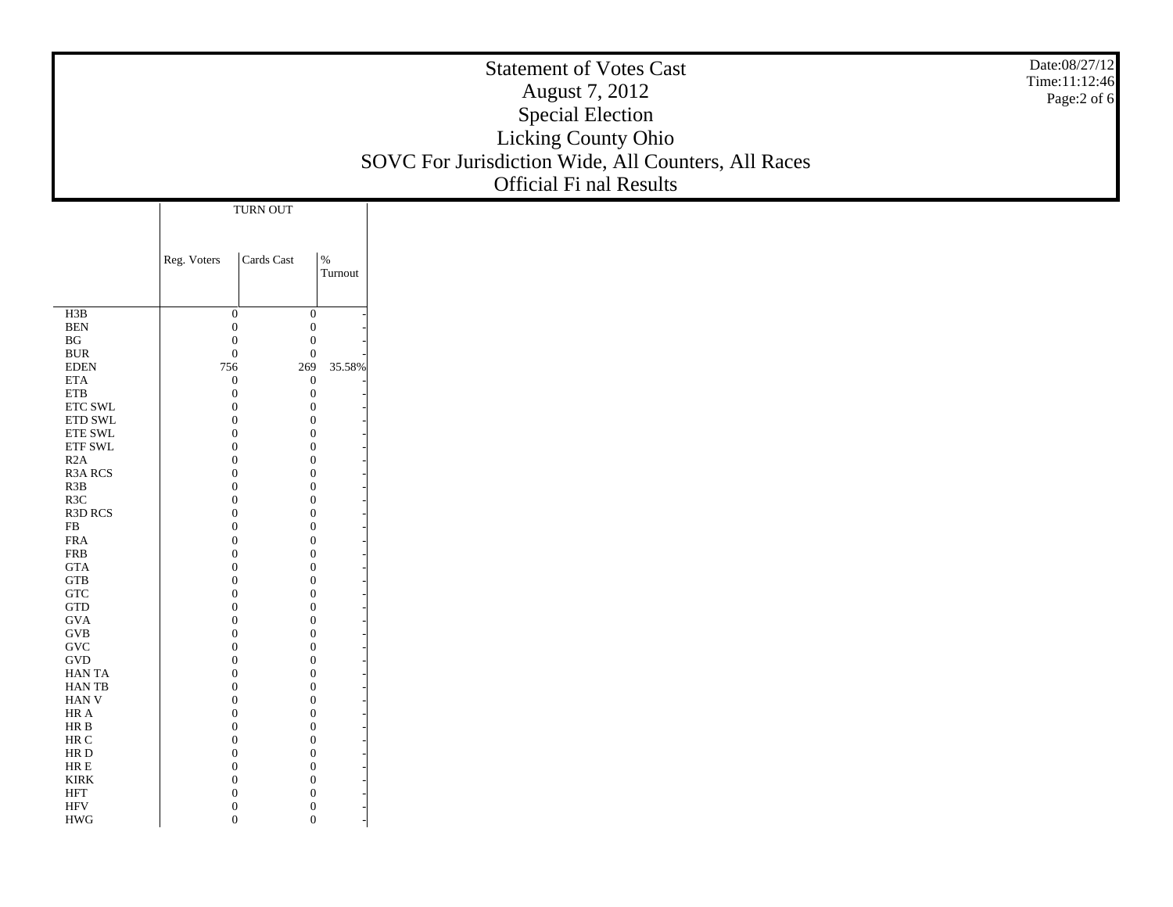|                                    |                              |                                           |                                  | <b>Statement of Votes Cast</b><br>August 7, 2012<br><b>Special Election</b><br>Licking County Ohio<br>SOVC For Jurisdiction Wide, All Counters, All Races<br>Official Fi nal Results | Date:08/27/12<br>Time:11:12:46<br>Page:2 of 6 |
|------------------------------------|------------------------------|-------------------------------------------|----------------------------------|--------------------------------------------------------------------------------------------------------------------------------------------------------------------------------------|-----------------------------------------------|
|                                    |                              | TURN OUT                                  |                                  |                                                                                                                                                                                      |                                               |
|                                    |                              |                                           |                                  |                                                                                                                                                                                      |                                               |
|                                    | Reg. Voters                  | $\operatorname{Cards}\operatorname{Cast}$ | $\%$<br>Turnout                  |                                                                                                                                                                                      |                                               |
| H3B                                | $\boldsymbol{0}$             |                                           | $\mathbf{0}$                     |                                                                                                                                                                                      |                                               |
| $\operatorname{BEN}$               | $\boldsymbol{0}$             |                                           | $\boldsymbol{0}$                 |                                                                                                                                                                                      |                                               |
| $\mathbf{B}\mathbf{G}$             | $\boldsymbol{0}$             |                                           | $\mathbf{0}$                     |                                                                                                                                                                                      |                                               |
| $\rm BUR$<br><b>EDEN</b>           | $\boldsymbol{0}$             |                                           | $\boldsymbol{0}$                 |                                                                                                                                                                                      |                                               |
| $\rm ETA$                          | 756<br>$\boldsymbol{0}$      | 269                                       | 35.58%<br>$\boldsymbol{0}$       |                                                                                                                                                                                      |                                               |
| ${\rm ETB}$                        | $\mathbf{0}$                 |                                           | $\mathbf{0}$                     |                                                                                                                                                                                      |                                               |
| $\ensuremath{\text{ETC}}$ SWL      | $\theta$                     |                                           | $\mathbf{0}$                     |                                                                                                                                                                                      |                                               |
| $\rm ETD$ SWL<br>ETE SWL           | $\Omega$<br>$\Omega$         |                                           | $\mathbf{0}$<br>$\mathbf{0}$     |                                                                                                                                                                                      |                                               |
| ${\rm ETF}$ SWL                    | $\Omega$                     |                                           | $\boldsymbol{0}$                 |                                                                                                                                                                                      |                                               |
| R2A                                | $\Omega$                     |                                           | $\mathbf{0}$                     |                                                                                                                                                                                      |                                               |
| $\,$ R3A $\,$ RCS $\,$             | $\Omega$                     |                                           | $\mathbf{0}$                     |                                                                                                                                                                                      |                                               |
| $\,$ R3B<br>R3C                    | $\Omega$<br>$\Omega$         |                                           | $\mathbf{0}$<br>$\boldsymbol{0}$ |                                                                                                                                                                                      |                                               |
| R3D RCS                            | $\Omega$                     |                                           | $\mathbf{0}$                     |                                                                                                                                                                                      |                                               |
| ${\rm FB}$                         | $\Omega$                     |                                           | $\boldsymbol{0}$                 |                                                                                                                                                                                      |                                               |
| ${\rm FRA}$<br>${\rm FRB}$         | $\Omega$<br>$\Omega$         |                                           | $\mathbf{0}$<br>$\boldsymbol{0}$ |                                                                                                                                                                                      |                                               |
| $\mathsf{GTA}$                     | $\Omega$                     |                                           | $\mathbf{0}$                     |                                                                                                                                                                                      |                                               |
| ${\rm GTB}$                        | $\Omega$                     |                                           | $\mathbf{0}$                     |                                                                                                                                                                                      |                                               |
| ${\rm GTC}$                        | $\Omega$                     |                                           | $\mathbf{0}$                     |                                                                                                                                                                                      |                                               |
| $\operatorname{GTD}$<br><b>GVA</b> | $\Omega$<br>$\Omega$         |                                           | $\boldsymbol{0}$<br>$\mathbf{0}$ |                                                                                                                                                                                      |                                               |
| $\rm GVB$                          | $\Omega$                     |                                           | $\mathbf{0}$                     |                                                                                                                                                                                      |                                               |
| $\operatorname{GVC}$               | $\Omega$                     |                                           | $\mathbf{0}$                     |                                                                                                                                                                                      |                                               |
| $\operatorname{GVD}$<br>HAN TA     | $\Omega$<br>$\Omega$         |                                           | $\boldsymbol{0}$<br>$\mathbf{0}$ |                                                                                                                                                                                      |                                               |
| <b>HANTB</b>                       | $\theta$                     | $\boldsymbol{0}$                          |                                  |                                                                                                                                                                                      |                                               |
| HAN V                              | $\Omega$                     |                                           | $\mathbf{0}$                     |                                                                                                                                                                                      |                                               |
| HR A                               | $\mathbf{0}$                 |                                           | $\bf{0}$                         |                                                                                                                                                                                      |                                               |
| HR B<br>$\rm{HR}$ C                | $\mathbf{0}$<br>$\mathbf{0}$ |                                           | $\theta$<br>$\mathbf{0}$         |                                                                                                                                                                                      |                                               |
| $\rm HR$ D                         | $\mathbf{0}$                 |                                           | $\mathbf{0}$                     |                                                                                                                                                                                      |                                               |
| ${\rm HR} \to$                     | $\mathbf{0}$                 |                                           | $\mathbf{0}$                     |                                                                                                                                                                                      |                                               |
| $\ensuremath{\text{KIRK}}$<br>HFT  | $\theta$<br>$\mathbf{0}$     |                                           | $\overline{0}$<br>$\mathbf{0}$   |                                                                                                                                                                                      |                                               |
| <b>HFV</b>                         | $\boldsymbol{0}$             |                                           | $\boldsymbol{0}$                 |                                                                                                                                                                                      |                                               |
| <b>HWG</b>                         | $\mathbf{0}$                 |                                           | $\mathbf{0}$                     |                                                                                                                                                                                      |                                               |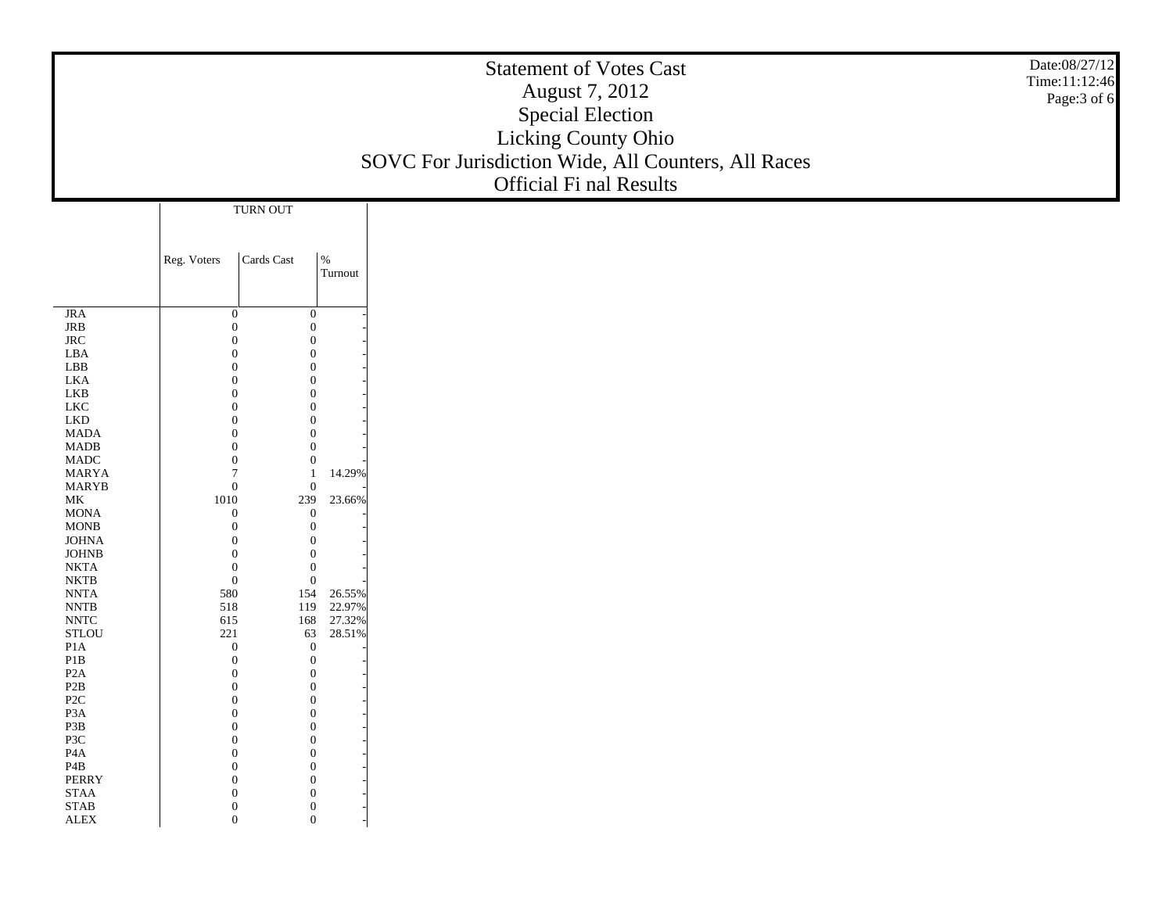|                                                          |                                  |            |                                | <b>Statement of Votes Cast</b><br>August 7, 2012<br><b>Special Election</b><br>Licking County Ohio<br>SOVC For Jurisdiction Wide, All Counters, All Races<br>Official Fi nal Results | Date:08/27/12<br>Time:11:12:46<br>Page: 3 of 6 |
|----------------------------------------------------------|----------------------------------|------------|--------------------------------|--------------------------------------------------------------------------------------------------------------------------------------------------------------------------------------|------------------------------------------------|
|                                                          |                                  | TURN OUT   |                                |                                                                                                                                                                                      |                                                |
|                                                          | Reg. Voters                      | Cards Cast | $\%$                           |                                                                                                                                                                                      |                                                |
|                                                          |                                  |            | Turnout                        |                                                                                                                                                                                      |                                                |
|                                                          |                                  |            |                                |                                                                                                                                                                                      |                                                |
| <b>JRA</b><br>$_{\rm JRB}$                               | $\boldsymbol{0}$<br>$\mathbf{0}$ |            | $\boldsymbol{0}$<br>$\theta$   |                                                                                                                                                                                      |                                                |
| $\rm JRC$                                                | $\mathbf{0}$                     |            | $\theta$                       |                                                                                                                                                                                      |                                                |
| LBA<br>${\rm LBB}$                                       | $\overline{0}$<br>$\overline{0}$ |            | $\theta$<br>$\Omega$           |                                                                                                                                                                                      |                                                |
| <b>LKA</b>                                               | $\overline{0}$                   |            | $\theta$                       |                                                                                                                                                                                      |                                                |
| LKB                                                      | $\overline{0}$                   |            | $\overline{0}$                 |                                                                                                                                                                                      |                                                |
| ${\rm LKC}$<br>${\rm LKD}$                               | $\overline{0}$<br>$\overline{0}$ |            | $\theta$<br>$\Omega$           |                                                                                                                                                                                      |                                                |
| <b>MADA</b>                                              | $\overline{0}$                   |            | $\theta$                       |                                                                                                                                                                                      |                                                |
| $\mbox{MADB}$                                            | $\mathbf{0}$                     |            | $\overline{0}$                 |                                                                                                                                                                                      |                                                |
| <b>MADC</b>                                              | $\boldsymbol{0}$                 |            | $\mathbf{0}$                   |                                                                                                                                                                                      |                                                |
| <b>MARYA</b><br><b>MARYB</b>                             | $\overline{7}$<br>$\mathbf{0}$   |            | 14.29%<br>$\mathbf{0}$         |                                                                                                                                                                                      |                                                |
| $\rm MK$                                                 | 1010                             |            | 239<br>23.66%                  |                                                                                                                                                                                      |                                                |
| $\operatorname{MONA}$                                    | $\boldsymbol{0}$                 |            | $\mathbf{0}$                   |                                                                                                                                                                                      |                                                |
| $\rm{MONB}$                                              | $\mathbf{0}$                     |            | $\Omega$                       |                                                                                                                                                                                      |                                                |
| <b>JOHNA</b><br>$_{\rm JOHNB}$                           | $\mathbf{0}$<br>$\boldsymbol{0}$ |            | $\Omega$<br>$\theta$           |                                                                                                                                                                                      |                                                |
| $\rm NKTA$                                               | $\boldsymbol{0}$                 |            | $\mathbf{0}$                   |                                                                                                                                                                                      |                                                |
| $\rm NKTB$                                               | $\mathbf{0}$                     |            | $\mathbf{0}$                   |                                                                                                                                                                                      |                                                |
| $\ensuremath{\text{NNTA}}$<br>$\ensuremath{\text{NNTB}}$ | 580<br>518                       |            | 154<br>26.55%<br>22.97%<br>119 |                                                                                                                                                                                      |                                                |
| $\ensuremath{\text{NNTC}}$                               | 615                              |            | 27.32%<br>168                  |                                                                                                                                                                                      |                                                |
| $\operatorname{\mathsf{STLOU}}$                          | 221                              |            | 28.51%<br>63                   |                                                                                                                                                                                      |                                                |
| P1A<br>$\mathbf{P}1\mathbf{B}$                           | $\mathbf{0}$<br>$\boldsymbol{0}$ |            | $\mathbf{0}$<br>$\theta$       |                                                                                                                                                                                      |                                                |
| P <sub>2</sub> A                                         | $\mathbf{0}$                     |            | $\mathbf{0}$                   |                                                                                                                                                                                      |                                                |
| P <sub>2</sub> B                                         | $\boldsymbol{0}$                 |            | $\theta$                       |                                                                                                                                                                                      |                                                |
| $\ensuremath{\mathsf{P2C}}$                              | $\overline{0}$<br>$\theta$       |            | $\mathbf{0}$<br>$\left($       |                                                                                                                                                                                      |                                                |
| P3A<br>P3B                                               | $\theta$                         |            | $\overline{0}$                 |                                                                                                                                                                                      |                                                |
| P3C                                                      | $\mathbf{0}$                     |            | $\mathbf{0}$                   |                                                                                                                                                                                      |                                                |
| P <sub>4</sub> A                                         | $\overline{0}$                   |            | $\mathbf{0}$<br>$\mathbf{0}$   |                                                                                                                                                                                      |                                                |
| P4B<br>PERRY                                             | $\mathbf{0}$<br>$\overline{0}$   |            | $\mathbf{0}$                   |                                                                                                                                                                                      |                                                |
| STAA                                                     | $\mathbf{0}$                     |            | $\mathbf{0}$                   |                                                                                                                                                                                      |                                                |
| <b>STAB</b>                                              | $\mathbf{0}$                     |            | $\mathbf{0}$                   |                                                                                                                                                                                      |                                                |
| ${\rm ALEX}$                                             | $\mathbf{0}$                     |            | $\overline{0}$                 |                                                                                                                                                                                      |                                                |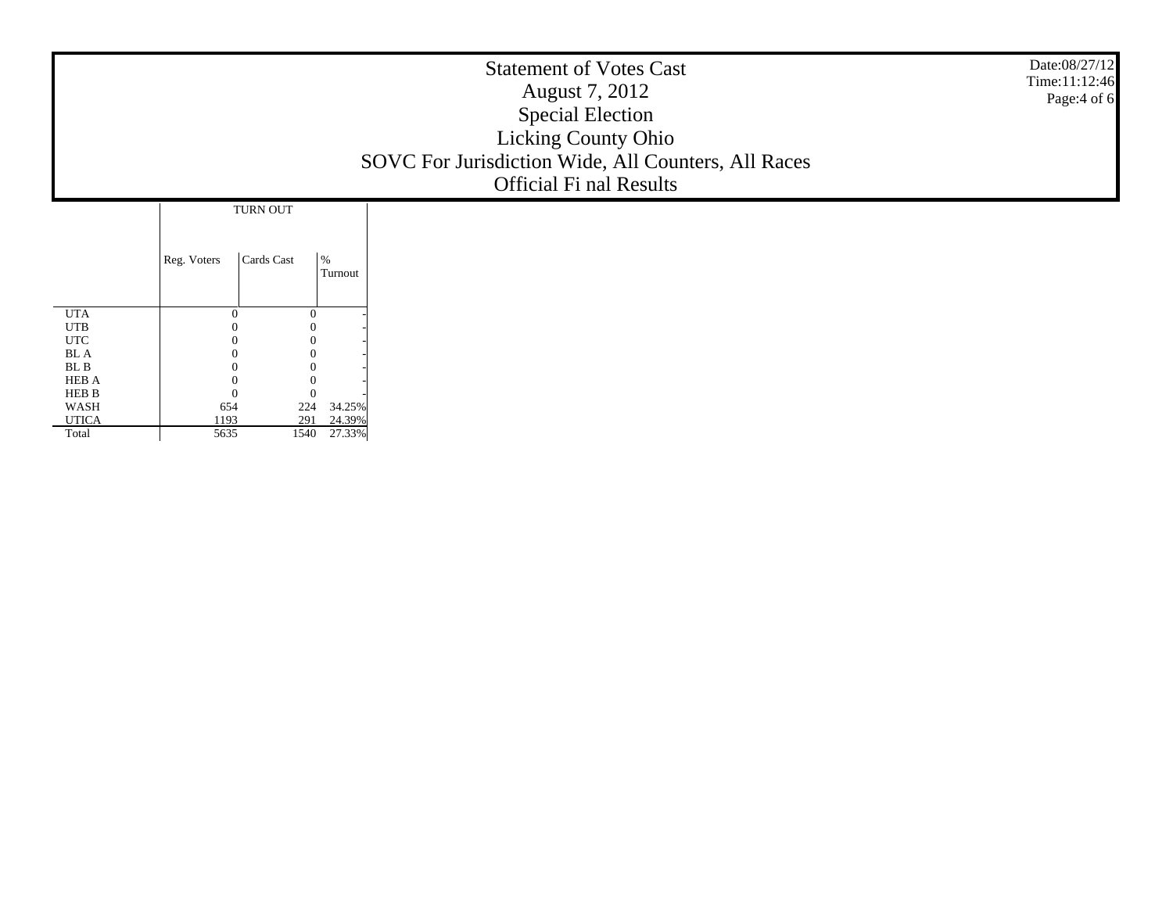|                |                           |                            | <b>Statement of Votes Cast</b><br>August 7, 2012<br><b>Special Election</b><br>Licking County Ohio<br>SOVC For Jurisdiction Wide, All Counters, All Races<br><b>Official Fi nal Results</b> | Date:08/27/12<br>Time:11:12:46<br>Page: 4 of 6 |
|----------------|---------------------------|----------------------------|---------------------------------------------------------------------------------------------------------------------------------------------------------------------------------------------|------------------------------------------------|
|                | TURN OUT                  |                            |                                                                                                                                                                                             |                                                |
|                | Cards Cast<br>Reg. Voters | $\%$<br>Turnout            |                                                                                                                                                                                             |                                                |
| <b>UTA</b>     | $\Omega$                  | $\theta$                   |                                                                                                                                                                                             |                                                |
| $_{\rm UTB}$   |                           |                            |                                                                                                                                                                                             |                                                |
| $_{\rm UTC}$   |                           |                            |                                                                                                                                                                                             |                                                |
| ${\bf BL}$ A   |                           |                            |                                                                                                                                                                                             |                                                |
| ${\bf BL}$ B   | 0                         |                            |                                                                                                                                                                                             |                                                |
| HEB A<br>HEB B | $\theta$<br>$\Omega$      | $\overline{0}$<br>$\theta$ |                                                                                                                                                                                             |                                                |
| WASH           | 654                       | 34.25%<br>224              |                                                                                                                                                                                             |                                                |
| <b>UTICA</b>   | 1193                      | 24.39%<br>291              |                                                                                                                                                                                             |                                                |
| Total          | 5635                      | 27.33%<br>1540             |                                                                                                                                                                                             |                                                |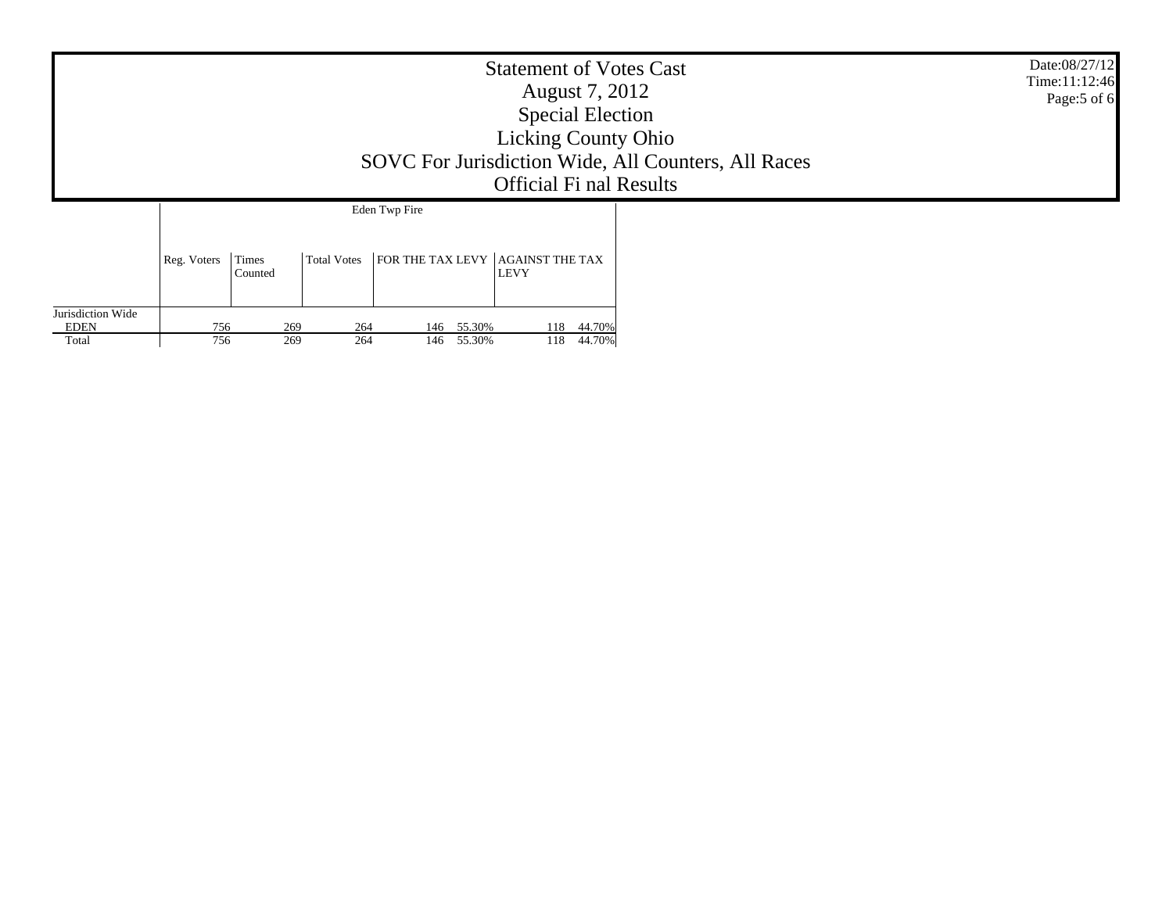| <b>Statement of Votes Cast</b><br>August 7, 2012<br><b>Special Election</b><br><b>Licking County Ohio</b><br>SOVC For Jurisdiction Wide, All Counters, All Races<br><b>Official Fi nal Results</b> |             |                  |                    |                                      |                  |            |                  |  | Date:08/27/12<br>Time:11:12:46<br>Page:5 of 6 |
|----------------------------------------------------------------------------------------------------------------------------------------------------------------------------------------------------|-------------|------------------|--------------------|--------------------------------------|------------------|------------|------------------|--|-----------------------------------------------|
|                                                                                                                                                                                                    |             |                  |                    | Eden Twp Fire                        |                  |            |                  |  |                                               |
|                                                                                                                                                                                                    | Reg. Voters | Times<br>Counted | <b>Total Votes</b> | FOR THE TAX LEVY $ $ AGAINST THE TAX |                  | LEVY       |                  |  |                                               |
| Jurisdiction Wide<br><b>EDEN</b><br>Total                                                                                                                                                          | 756<br>756  | 269<br>269       | 264<br>264         | 146<br>146                           | 55.30%<br>55.30% | 118<br>118 | 44.70%<br>44.70% |  |                                               |